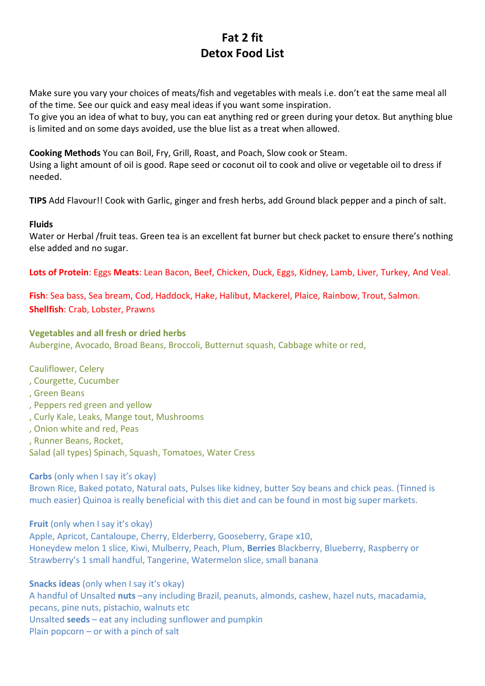# **Fat 2 fit Detox Food List**

Make sure you vary your choices of meats/fish and vegetables with meals i.e. don't eat the same meal all of the time. See our quick and easy meal ideas if you want some inspiration.

To give you an idea of what to buy, you can eat anything red or green during your detox. But anything blue is limited and on some days avoided, use the blue list as a treat when allowed.

**Cooking Methods** You can Boil, Fry, Grill, Roast, and Poach, Slow cook or Steam.

Using a light amount of oil is good. Rape seed or coconut oil to cook and olive or vegetable oil to dress if needed.

**TIPS** Add Flavour!! Cook with Garlic, ginger and fresh herbs, add Ground black pepper and a pinch of salt.

#### **Fluids**

Water or Herbal /fruit teas. Green tea is an excellent fat burner but check packet to ensure there's nothing else added and no sugar.

**Lots of Protein**: Eggs **Meats**: Lean Bacon, Beef, Chicken, Duck, Eggs, Kidney, Lamb, Liver, Turkey, And Veal.

**Fish**: Sea bass, Sea bream, Cod, Haddock, Hake, Halibut, Mackerel, Plaice, Rainbow, Trout, Salmon. **Shellfish**: Crab, Lobster, Prawns

#### **Vegetables and all fresh or dried herbs**

Aubergine, Avocado, Broad Beans, Broccoli, Butternut squash, Cabbage white or red,

Cauliflower, Celery

- , Courgette, Cucumber
- , Green Beans
- , Peppers red green and yellow
- , Curly Kale, Leaks, Mange tout, Mushrooms
- , Onion white and red, Peas
- , Runner Beans, Rocket,
- Salad (all types) Spinach, Squash, Tomatoes, Water Cress

**Carbs** (only when I say it's okay)

Brown Rice, Baked potato, Natural oats, Pulses like kidney, butter Soy beans and chick peas. (Tinned is much easier) Quinoa is really beneficial with this diet and can be found in most big super markets.

**Fruit** (only when I say it's okay)

Apple, Apricot, Cantaloupe, Cherry, Elderberry, Gooseberry, Grape x10, Honeydew melon 1 slice, Kiwi, Mulberry, Peach, Plum, **Berries** Blackberry, Blueberry, Raspberry or Strawberry's 1 small handful, Tangerine, Watermelon slice, small banana

**Snacks ideas** (only when I say it's okay) A handful of Unsalted **nuts** –any including Brazil, peanuts, almonds, cashew, hazel nuts, macadamia, pecans, pine nuts, pistachio, walnuts etc Unsalted **seeds** – eat any including sunflower and pumpkin Plain popcorn – or with a pinch of salt